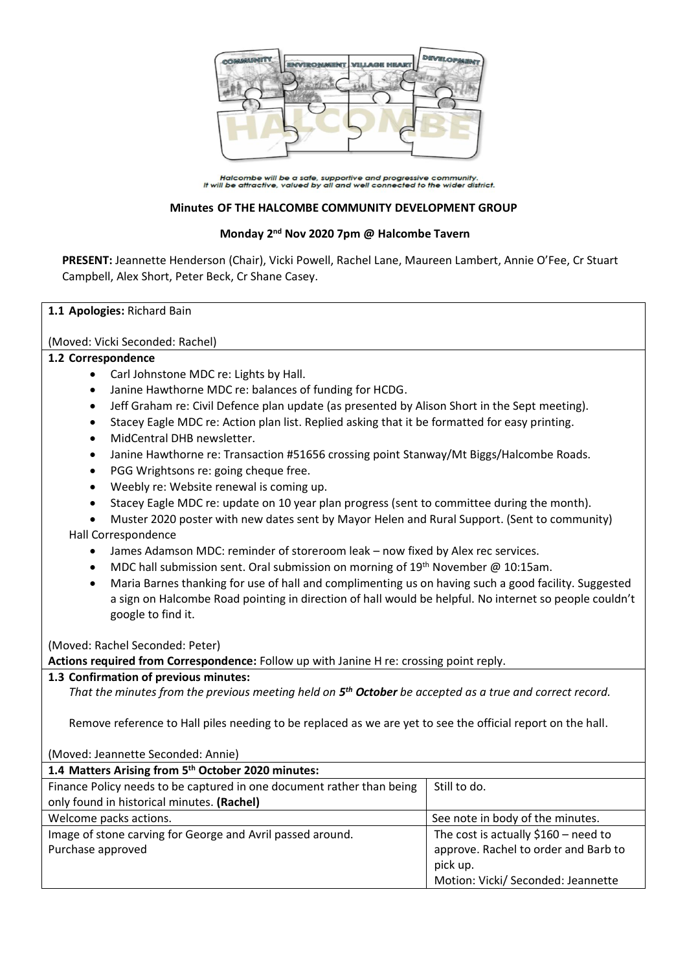

Halcombe will be a safe, supportive and progressive community.<br>It will be attractive, valued by all and well connected to the wider district.

### **Minutes OF THE HALCOMBE COMMUNITY DEVELOPMENT GROUP**

## **Monday 2 nd Nov 2020 7pm @ Halcombe Tavern**

**PRESENT:** Jeannette Henderson (Chair), Vicki Powell, Rachel Lane, Maureen Lambert, Annie O'Fee, Cr Stuart Campbell, Alex Short, Peter Beck, Cr Shane Casey.

### **1.1 Apologies:** Richard Bain

(Moved: Vicki Seconded: Rachel)

### **1.2 Correspondence**

- Carl Johnstone MDC re: Lights by Hall.
- Janine Hawthorne MDC re: balances of funding for HCDG.
- Jeff Graham re: Civil Defence plan update (as presented by Alison Short in the Sept meeting).
- Stacey Eagle MDC re: Action plan list. Replied asking that it be formatted for easy printing.
- MidCentral DHB newsletter.
- Janine Hawthorne re: Transaction #51656 crossing point Stanway/Mt Biggs/Halcombe Roads.
- PGG Wrightsons re: going cheque free.
- Weebly re: Website renewal is coming up.
- Stacey Eagle MDC re: update on 10 year plan progress (sent to committee during the month).
- Muster 2020 poster with new dates sent by Mayor Helen and Rural Support. (Sent to community) Hall Correspondence
	- James Adamson MDC: reminder of storeroom leak now fixed by Alex rec services.
	- MDC hall submission sent. Oral submission on morning of 19<sup>th</sup> November @ 10:15am.
	- Maria Barnes thanking for use of hall and complimenting us on having such a good facility. Suggested a sign on Halcombe Road pointing in direction of hall would be helpful. No internet so people couldn't google to find it.

(Moved: Rachel Seconded: Peter)

**Actions required from Correspondence:** Follow up with Janine H re: crossing point reply.

### **1.3 Confirmation of previous minutes:**

*That the minutes from the previous meeting held on 5 th October be accepted as a true and correct record.*

Remove reference to Hall piles needing to be replaced as we are yet to see the official report on the hall.

| (Moved: Jeannette Seconded: Annie)                                    |                                       |
|-----------------------------------------------------------------------|---------------------------------------|
| 1.4 Matters Arising from 5th October 2020 minutes:                    |                                       |
| Finance Policy needs to be captured in one document rather than being | Still to do.                          |
| only found in historical minutes. (Rachel)                            |                                       |
| Welcome packs actions.                                                | See note in body of the minutes.      |
| Image of stone carving for George and Avril passed around.            | The cost is actually $$160$ – need to |
| Purchase approved                                                     | approve. Rachel to order and Barb to  |
|                                                                       | pick up.                              |
|                                                                       | Motion: Vicki/ Seconded: Jeannette    |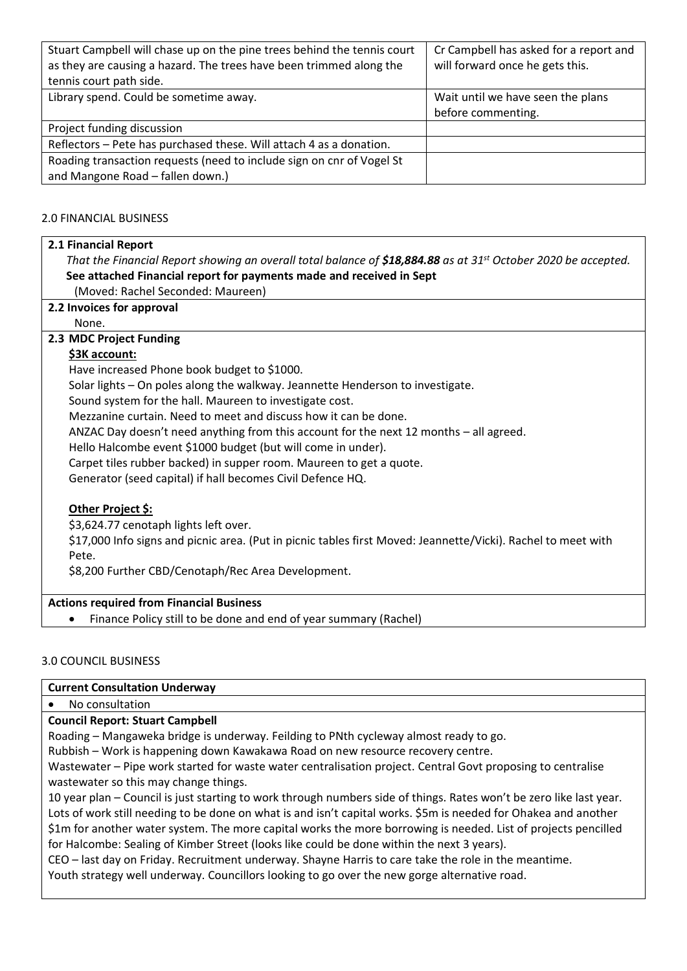| Stuart Campbell will chase up on the pine trees behind the tennis court | Cr Campbell has asked for a report and |
|-------------------------------------------------------------------------|----------------------------------------|
| as they are causing a hazard. The trees have been trimmed along the     | will forward once he gets this.        |
| tennis court path side.                                                 |                                        |
| Library spend. Could be sometime away.                                  | Wait until we have seen the plans      |
|                                                                         | before commenting.                     |
| Project funding discussion                                              |                                        |
| Reflectors - Pete has purchased these. Will attach 4 as a donation.     |                                        |
| Roading transaction requests (need to include sign on cnr of Vogel St   |                                        |
| and Mangone Road - fallen down.)                                        |                                        |

## 2.0 FINANCIAL BUSINESS

### **2.1 Financial Report**

*That the Financial Report showing an overall total balance of \$18,884.88 as at 31st October 2020 be accepted.* **See attached Financial report for payments made and received in Sept** (Moved: Rachel Seconded: Maureen)

### **2.2 Invoices for approval**

None.

### **2.3 MDC Project Funding**

# **\$3K account:**

Have increased Phone book budget to \$1000.

Solar lights – On poles along the walkway. Jeannette Henderson to investigate.

Sound system for the hall. Maureen to investigate cost.

Mezzanine curtain. Need to meet and discuss how it can be done.

ANZAC Day doesn't need anything from this account for the next 12 months – all agreed.

Hello Halcombe event \$1000 budget (but will come in under).

Carpet tiles rubber backed) in supper room. Maureen to get a quote.

Generator (seed capital) if hall becomes Civil Defence HQ.

# **Other Project \$:**

\$3,624.77 cenotaph lights left over.

\$17,000 Info signs and picnic area. (Put in picnic tables first Moved: Jeannette/Vicki). Rachel to meet with Pete.

\$8,200 Further CBD/Cenotaph/Rec Area Development.

### **Actions required from Financial Business**

• Finance Policy still to be done and end of year summary (Rachel)

### 3.0 COUNCIL BUSINESS

**Current Consultation Underway**

### • No consultation

**Council Report: Stuart Campbell**

Roading – Mangaweka bridge is underway. Feilding to PNth cycleway almost ready to go.

Rubbish – Work is happening down Kawakawa Road on new resource recovery centre.

Wastewater – Pipe work started for waste water centralisation project. Central Govt proposing to centralise wastewater so this may change things.

10 year plan – Council is just starting to work through numbers side of things. Rates won't be zero like last year. Lots of work still needing to be done on what is and isn't capital works. \$5m is needed for Ohakea and another \$1m for another water system. The more capital works the more borrowing is needed. List of projects pencilled for Halcombe: Sealing of Kimber Street (looks like could be done within the next 3 years).

CEO – last day on Friday. Recruitment underway. Shayne Harris to care take the role in the meantime.

Youth strategy well underway. Councillors looking to go over the new gorge alternative road.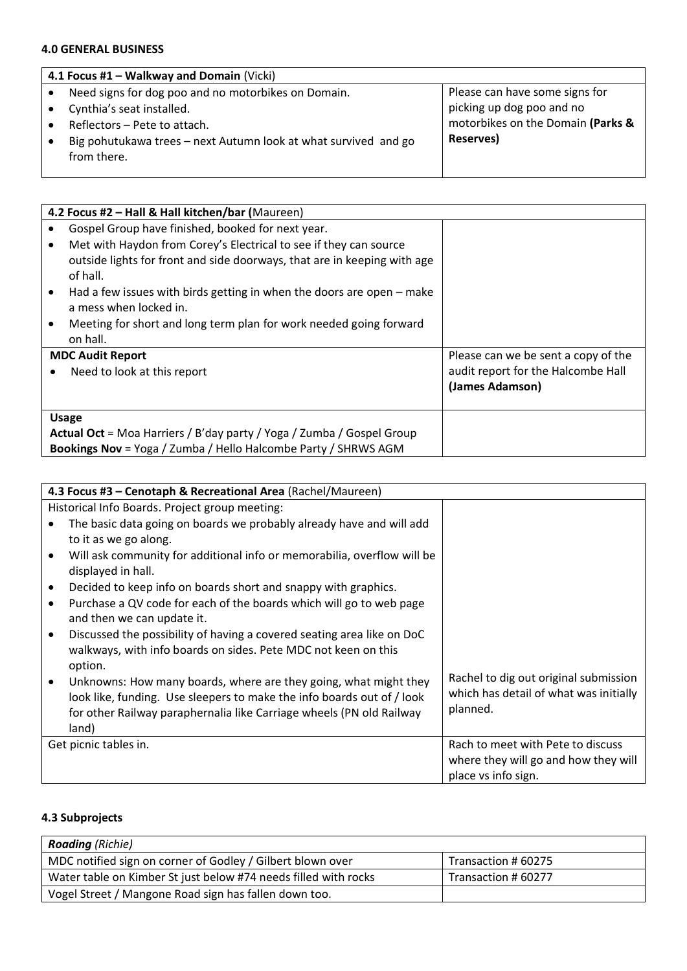# **4.0 GENERAL BUSINESS**

| 4.1 Focus #1 - Walkway and Domain (Vicki)                       |                                   |  |
|-----------------------------------------------------------------|-----------------------------------|--|
| Need signs for dog poo and no motorbikes on Domain.             | Please can have some signs for    |  |
| Cynthia's seat installed.                                       | picking up dog poo and no         |  |
| Reflectors - Pete to attach.                                    | motorbikes on the Domain (Parks & |  |
| Big pohutukawa trees – next Autumn look at what survived and go | Reserves)                         |  |
| from there.                                                     |                                   |  |
|                                                                 |                                   |  |

|           | 4.2 Focus #2 - Hall & Hall kitchen/bar (Maureen)                         |                                     |  |
|-----------|--------------------------------------------------------------------------|-------------------------------------|--|
|           | Gospel Group have finished, booked for next year.                        |                                     |  |
| $\bullet$ | Met with Haydon from Corey's Electrical to see if they can source        |                                     |  |
|           | outside lights for front and side doorways, that are in keeping with age |                                     |  |
|           | of hall.                                                                 |                                     |  |
|           | Had a few issues with birds getting in when the doors are open – make    |                                     |  |
|           | a mess when locked in.                                                   |                                     |  |
|           | Meeting for short and long term plan for work needed going forward       |                                     |  |
|           | on hall.                                                                 |                                     |  |
|           | <b>MDC Audit Report</b>                                                  | Please can we be sent a copy of the |  |
|           | Need to look at this report                                              | audit report for the Halcombe Hall  |  |
|           |                                                                          | (James Adamson)                     |  |
|           |                                                                          |                                     |  |
|           | <b>Usage</b>                                                             |                                     |  |
|           | Actual Oct = Moa Harriers / B'day party / Yoga / Zumba / Gospel Group    |                                     |  |
|           | <b>Bookings Nov</b> = Yoga / Zumba / Hello Halcombe Party / SHRWS AGM    |                                     |  |

| 4.3 Focus #3 – Cenotaph & Recreational Area (Rachel/Maureen)                                                           |  |
|------------------------------------------------------------------------------------------------------------------------|--|
|                                                                                                                        |  |
| Historical Info Boards. Project group meeting:                                                                         |  |
| The basic data going on boards we probably already have and will add                                                   |  |
| to it as we go along.                                                                                                  |  |
| Will ask community for additional info or memorabilia, overflow will be<br>$\bullet$                                   |  |
| displayed in hall.                                                                                                     |  |
| Decided to keep info on boards short and snappy with graphics.<br>$\bullet$                                            |  |
| Purchase a QV code for each of the boards which will go to web page<br>$\bullet$                                       |  |
| and then we can update it.                                                                                             |  |
| Discussed the possibility of having a covered seating area like on DoC<br>$\bullet$                                    |  |
| walkways, with info boards on sides. Pete MDC not keen on this                                                         |  |
| option.                                                                                                                |  |
| Rachel to dig out original submission<br>Unknowns: How many boards, where are they going, what might they<br>$\bullet$ |  |
| which has detail of what was initially<br>look like, funding. Use sleepers to make the info boards out of / look       |  |
| planned.<br>for other Railway paraphernalia like Carriage wheels (PN old Railway                                       |  |
| land)                                                                                                                  |  |
| Rach to meet with Pete to discuss<br>Get picnic tables in.                                                             |  |
| where they will go and how they will                                                                                   |  |
| place vs info sign.                                                                                                    |  |

# **4.3 Subprojects**

| <b>Roading</b> (Richie)                                         |                     |
|-----------------------------------------------------------------|---------------------|
| MDC notified sign on corner of Godley / Gilbert blown over      | Transaction # 60275 |
| Water table on Kimber St just below #74 needs filled with rocks | Transaction # 60277 |
| Vogel Street / Mangone Road sign has fallen down too.           |                     |